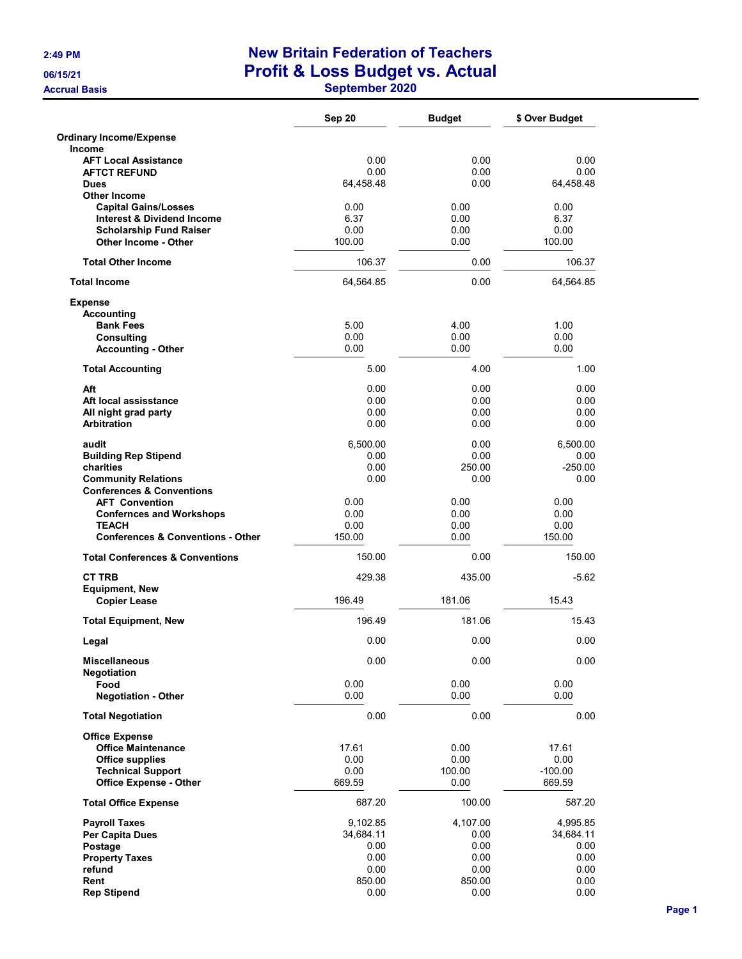**Accrual Basis** 

## 2:49 PM New Britain Federation of Teachers 06/15/21 Profit & Loss Budget vs. Actual

|  | September 2020 |
|--|----------------|
|--|----------------|

|                                                                         | Sep 20            | <b>Budget</b>  | \$ Over Budget    |
|-------------------------------------------------------------------------|-------------------|----------------|-------------------|
| <b>Ordinary Income/Expense</b>                                          |                   |                |                   |
| <b>Income</b><br><b>AFT Local Assistance</b>                            | 0.00              | 0.00           | 0.00              |
| <b>AFTCT REFUND</b>                                                     | 0.00              | 0.00           | 0.00              |
| <b>Dues</b>                                                             | 64,458.48         | 0.00           | 64,458.48         |
| <b>Other Income</b>                                                     |                   |                |                   |
| <b>Capital Gains/Losses</b>                                             | 0.00<br>6.37      | 0.00<br>0.00   | 0.00<br>6.37      |
| <b>Interest &amp; Dividend Income</b><br><b>Scholarship Fund Raiser</b> | 0.00              | 0.00           | 0.00              |
| <b>Other Income - Other</b>                                             | 100.00            | 0.00           | 100.00            |
| <b>Total Other Income</b>                                               | 106.37            | 0.00           | 106.37            |
| <b>Total Income</b>                                                     | 64,564.85         | 0.00           | 64,564.85         |
| <b>Expense</b>                                                          |                   |                |                   |
| <b>Accounting</b><br><b>Bank Fees</b>                                   | 5.00              | 4.00           | 1.00              |
| <b>Consulting</b>                                                       | 0.00              | 0.00           | 0.00              |
| <b>Accounting - Other</b>                                               | 0.00              | 0.00           | 0.00              |
| <b>Total Accounting</b>                                                 | 5.00              | 4.00           | 1.00              |
| Aft                                                                     | 0.00              | 0.00           | 0.00              |
| Aft local assisstance                                                   | 0.00              | 0.00           | 0.00              |
| All night grad party                                                    | 0.00              | 0.00           | 0.00              |
| <b>Arbitration</b>                                                      | 0.00              | 0.00           | 0.00              |
| audit                                                                   | 6,500.00          | 0.00           | 6,500.00          |
| <b>Building Rep Stipend</b>                                             | 0.00              | 0.00           | 0.00              |
| charities                                                               | 0.00<br>0.00      | 250.00<br>0.00 | $-250.00$<br>0.00 |
| <b>Community Relations</b><br><b>Conferences &amp; Conventions</b>      |                   |                |                   |
| <b>AFT Convention</b>                                                   | 0.00              | 0.00           | 0.00              |
| <b>Confernces and Workshops</b>                                         | 0.00              | 0.00           | 0.00              |
| <b>TEACH</b>                                                            | 0.00              | 0.00           | 0.00              |
| <b>Conferences &amp; Conventions - Other</b>                            | 150.00            | 0.00           | 150.00            |
| <b>Total Conferences &amp; Conventions</b>                              | 150.00            | 0.00           | 150.00            |
| <b>CT TRB</b>                                                           | 429.38            | 435.00         | $-5.62$           |
| <b>Equipment, New</b><br><b>Copier Lease</b>                            | 196.49            | 181.06         | 15.43             |
| <b>Total Equipment, New</b>                                             | 196.49            | 181.06         | 15.43             |
| Legal                                                                   | 0.00              | 0.00           | 0.00              |
| <b>Miscellaneous</b>                                                    | 0.00              | 0.00           | 0.00              |
| <b>Negotiation</b>                                                      |                   |                |                   |
| Food<br><b>Negotiation - Other</b>                                      | 0.00<br>0.00      | 0.00<br>0.00   | 0.00<br>0.00      |
| <b>Total Negotiation</b>                                                | 0.00              | 0.00           | 0.00              |
| <b>Office Expense</b>                                                   |                   |                |                   |
| <b>Office Maintenance</b>                                               | 17.61             | 0.00           | 17.61             |
| <b>Office supplies</b>                                                  | 0.00              | 0.00           | 0.00              |
| <b>Technical Support</b>                                                | 0.00              | 100.00         | $-100.00$         |
| <b>Office Expense - Other</b>                                           | 669.59            | 0.00           | 669.59            |
| <b>Total Office Expense</b>                                             | 687.20            | 100.00         | 587.20            |
| <b>Payroll Taxes</b>                                                    | 9,102.85          | 4,107.00       | 4,995.85          |
| Per Capita Dues                                                         | 34,684.11<br>0.00 | 0.00<br>0.00   | 34,684.11<br>0.00 |
| Postage<br><b>Property Taxes</b>                                        | 0.00              | 0.00           | 0.00              |
| refund                                                                  | 0.00              | 0.00           | 0.00              |
| Rent                                                                    | 850.00            | 850.00         | 0.00              |
| <b>Rep Stipend</b>                                                      | 0.00              | 0.00           | 0.00              |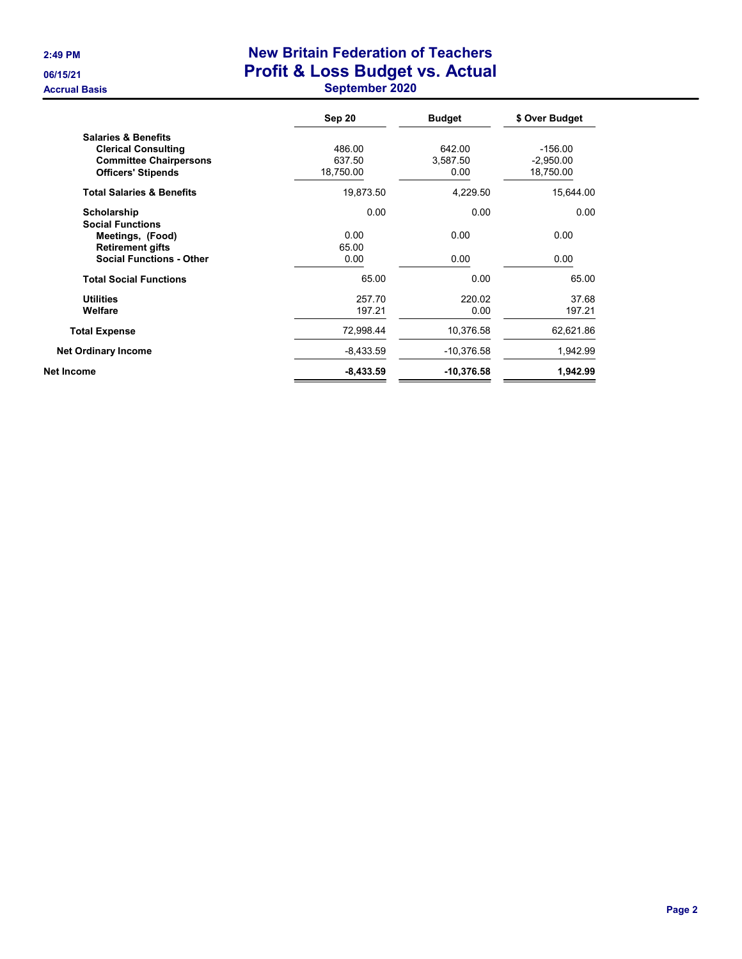## 2:49 PM New Britain Federation of Teachers 06/15/21 **Profit & Loss Budget vs. Actual** Accrual Basis **September 2020**

|                                      | Sep 20      | <b>Budget</b> | \$ Over Budget |
|--------------------------------------|-------------|---------------|----------------|
| <b>Salaries &amp; Benefits</b>       |             |               |                |
| <b>Clerical Consulting</b>           | 486.00      | 642.00        | $-156.00$      |
| <b>Committee Chairpersons</b>        | 637.50      | 3,587.50      | $-2,950.00$    |
| <b>Officers' Stipends</b>            | 18,750.00   | 0.00          | 18,750.00      |
| <b>Total Salaries &amp; Benefits</b> | 19,873.50   | 4,229.50      | 15,644.00      |
| Scholarship                          | 0.00        | 0.00          | 0.00           |
| <b>Social Functions</b>              |             |               |                |
| Meetings, (Food)                     | 0.00        | 0.00          | 0.00           |
| <b>Retirement gifts</b>              | 65.00       |               |                |
| <b>Social Functions - Other</b>      | 0.00        | 0.00          | 0.00           |
| <b>Total Social Functions</b>        | 65.00       | 0.00          | 65.00          |
| <b>Utilities</b>                     | 257.70      | 220.02        | 37.68          |
| Welfare                              | 197.21      | 0.00          | 197.21         |
| <b>Total Expense</b>                 | 72,998.44   | 10,376.58     | 62,621.86      |
| <b>Net Ordinary Income</b>           | $-8,433.59$ | -10,376.58    | 1,942.99       |
| Net Income                           | $-8,433.59$ | $-10,376.58$  | 1,942.99       |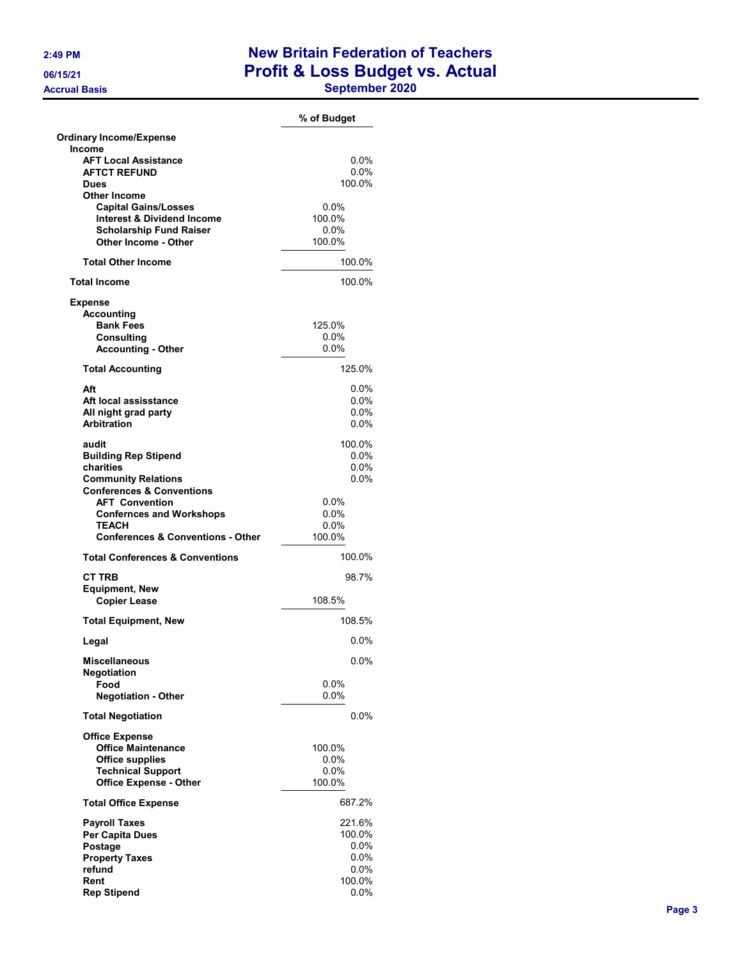## 2:49 PM New Britain Federation of Teachers 06/15/21 **Profit & Loss Budget vs. Actual** Accrual Basis **September 2020**

|                                                                      | % of Budget        |
|----------------------------------------------------------------------|--------------------|
| <b>Ordinary Income/Expense</b>                                       |                    |
| Income<br><b>AFT Local Assistance</b>                                | $0.0\%$            |
| <b>AFTCT REFUND</b>                                                  | $0.0\%$            |
| <b>Dues</b>                                                          | 100.0%             |
| <b>Other Income</b>                                                  |                    |
| <b>Capital Gains/Losses</b><br><b>Interest &amp; Dividend Income</b> | $0.0\%$<br>100.0%  |
| <b>Scholarship Fund Raiser</b>                                       | $0.0\%$            |
| Other Income - Other                                                 | 100.0%             |
| <b>Total Other Income</b>                                            | 100.0%             |
| <b>Total Income</b>                                                  | 100.0%             |
| <b>Expense</b>                                                       |                    |
| <b>Accounting</b>                                                    |                    |
| <b>Bank Fees</b>                                                     | 125.0%             |
| <b>Consulting</b>                                                    | $0.0\%$            |
| <b>Accounting - Other</b>                                            | 0.0%               |
| <b>Total Accounting</b>                                              | 125.0%             |
| Aft                                                                  | 0.0%               |
| Aft local assisstance                                                | $0.0\%$            |
| All night grad party                                                 | $0.0\%$            |
| <b>Arbitration</b>                                                   | 0.0%               |
| audit                                                                | 100.0%             |
| <b>Building Rep Stipend</b>                                          | $0.0\%$            |
| charities                                                            | $0.0\%$            |
| <b>Community Relations</b>                                           | 0.0%               |
| <b>Conferences &amp; Conventions</b>                                 |                    |
| <b>AFT Convention</b>                                                | $0.0\%$            |
| <b>Confernces and Workshops</b><br><b>TEACH</b>                      | $0.0\%$<br>$0.0\%$ |
| <b>Conferences &amp; Conventions - Other</b>                         | 100.0%             |
| <b>Total Conferences &amp; Conventions</b>                           | 100.0%             |
|                                                                      |                    |
| <b>CT TRB</b>                                                        | 98.7%              |
| <b>Equipment, New</b><br><b>Copier Lease</b>                         | 108.5%             |
| <b>Total Equipment, New</b>                                          | 108.5%             |
| Legal                                                                | 0.0%               |
|                                                                      |                    |
| <b>Miscellaneous</b><br>Negotiation                                  | 0.0%               |
| Food                                                                 | $0.0\%$            |
| <b>Negotiation - Other</b>                                           | 0.0%               |
| <b>Total Negotiation</b>                                             | 0.0%               |
| <b>Office Expense</b>                                                |                    |
| <b>Office Maintenance</b>                                            | 100.0%             |
| <b>Office supplies</b>                                               | $0.0\%$            |
| <b>Technical Support</b>                                             | $0.0\%$            |
| <b>Office Expense - Other</b>                                        | 100.0%             |
| <b>Total Office Expense</b>                                          | 687.2%             |
| <b>Payroll Taxes</b>                                                 | 221.6%             |
| Per Capita Dues                                                      | 100.0%             |
| Postage                                                              | $0.0\%$            |
| <b>Property Taxes</b>                                                | 0.0%               |
| refund                                                               | $0.0\%$            |
| Rent                                                                 | 100.0%             |
| <b>Rep Stipend</b>                                                   | 0.0%               |